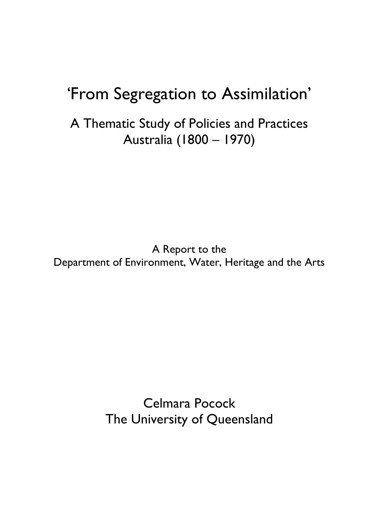# 'From Segregation to Assimilation'

A Thematic Study of Policies and Practices Australia (1800 – 1970)

A Report to the Department of Environment, Water, Heritage and the Arts

> Celmara Pocock The University of Queensland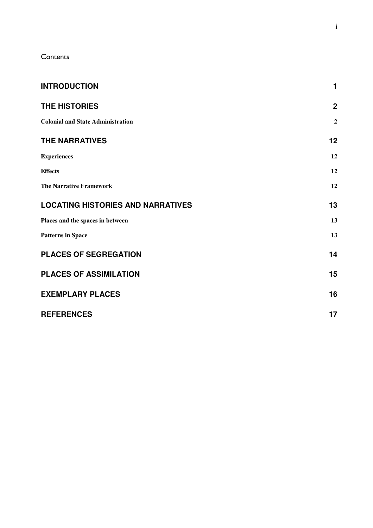**Contents** 

| <b>INTRODUCTION</b>                      | 1              |
|------------------------------------------|----------------|
| <b>THE HISTORIES</b>                     | $\overline{2}$ |
| <b>Colonial and State Administration</b> | $\overline{2}$ |
| <b>THE NARRATIVES</b>                    | 12             |
| <b>Experiences</b>                       | 12             |
| <b>Effects</b>                           | 12             |
| <b>The Narrative Framework</b>           | 12             |
| <b>LOCATING HISTORIES AND NARRATIVES</b> | 13             |
| Places and the spaces in between         | 13             |
| <b>Patterns in Space</b>                 | 13             |
| <b>PLACES OF SEGREGATION</b>             | 14             |
| <b>PLACES OF ASSIMILATION</b>            | 15             |
| <b>EXEMPLARY PLACES</b>                  | 16             |
| <b>REFERENCES</b>                        | 17             |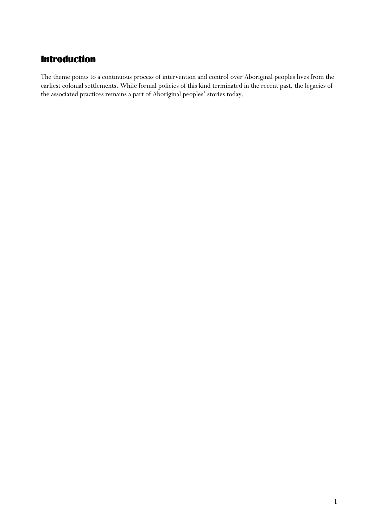### Introduction

The theme points to a continuous process of intervention and control over Aboriginal peoples lives from the earliest colonial settlements. While formal policies of this kind terminated in the recent past, the legacies of the associated practices remains a part of Aboriginal peoples' stories today.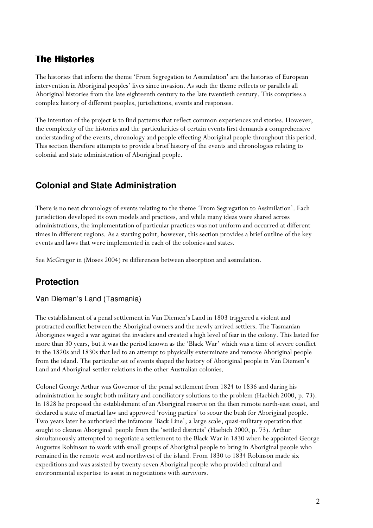#### The Histories

The histories that inform the theme 'From Segregation to Assimilation' are the histories of European intervention in Aboriginal peoples' lives since invasion. As such the theme reflects or parallels all Aboriginal histories from the late eighteenth century to the late twentieth century. This comprises a complex history of different peoples, jurisdictions, events and responses.

The intention of the project is to find patterns that reflect common experiences and stories. However, the complexity of the histories and the particularities of certain events first demands a comprehensive understanding of the events, chronology and people effecting Aboriginal people throughout this period. This section therefore attempts to provide a brief history of the events and chronologies relating to colonial and state administration of Aboriginal people.

### **Colonial and State Administration**

There is no neat chronology of events relating to the theme 'From Segregation to Assimilation'. Each jurisdiction developed its own models and practices, and while many ideas were shared across administrations, the implementation of particular practices was not uniform and occurred at different times in different regions. As a starting point, however, this section provides a brief outline of the key events and laws that were implemented in each of the colonies and states.

See McGregor in (Moses 2004) re differences between absorption and assimilation.

### **Protection**

#### Van Dieman's Land (Tasmania)

The establishment of a penal settlement in Van Diemen's Land in 1803 triggered a violent and protracted conflict between the Aboriginal owners and the newly arrived settlers. The Tasmanian Aborigines waged a war against the invaders and created a high level of fear in the colony. This lasted for more than 30 years, but it was the period known as the 'Black War' which was a time of severe conflict in the 1820s and 1830s that led to an attempt to physically exterminate and remove Aboriginal people from the island. The particular set of events shaped the history of Aboriginal people in Van Diemen's Land and Aboriginal-settler relations in the other Australian colonies.

Colonel George Arthur was Governor of the penal settlement from 1824 to 1836 and during his administration he sought both military and conciliatory solutions to the problem (Haebich 2000, p. 73). In 1828 he proposed the establishment of an Aboriginal reserve on the then remote north-east coast, and declared a state of martial law and approved 'roving parties' to scour the bush for Aboriginal people. Two years later he authorised the infamous 'Back Line'; a large scale, quasi-military operation that sought to cleanse Aboriginal people from the 'settled districts' (Haebich 2000, p. 73). Arthur simultaneously attempted to negotiate a settlement to the Black War in 1830 when he appointed George Augustus Robinson to work with small groups of Aboriginal people to bring in Aboriginal people who remained in the remote west and northwest of the island. From 1830 to 1834 Robinson made six expeditions and was assisted by twenty-seven Aboriginal people who provided cultural and environmental expertise to assist in negotiations with survivors.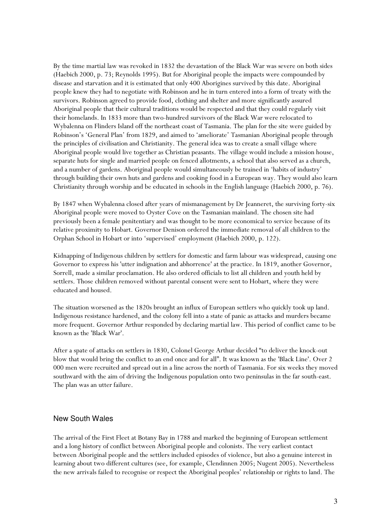By the time martial law was revoked in 1832 the devastation of the Black War was severe on both sides (Haebich 2000, p. 73; Reynolds 1995). But for Aboriginal people the impacts were compounded by disease and starvation and it is estimated that only 400 Aborigines survived by this date. Aboriginal people knew they had to negotiate with Robinson and he in turn entered into a form of treaty with the survivors. Robinson agreed to provide food, clothing and shelter and more significantly assured Aboriginal people that their cultural traditions would be respected and that they could regularly visit their homelands. In 1833 more than two-hundred survivors of the Black War were relocated to Wybalenna on Flinders Island off the northeast coast of Tasmania. The plan for the site were guided by Robinson's 'General Plan' from 1829, and aimed to 'ameliorate' Tasmanian Aboriginal people through the principles of civilisation and Christianity. The general idea was to create a small village where Aboriginal people would live together as Christian peasants. The village would include a mission house, separate huts for single and married people on fenced allotments, a school that also served as a church, and a number of gardens. Aboriginal people would simultaneously be trained in 'habits of industry' through building their own huts and gardens and cooking food in a European way. They would also learn Christianity through worship and be educated in schools in the English language (Haebich 2000, p. 76).

By 1847 when Wybalenna closed after years of mismanagement by Dr Jeanneret, the surviving forty-six Aboriginal people were moved to Oyster Cove on the Tasmanian mainland. The chosen site had previously been a female penitentiary and was thought to be more economical to service because of its relative proximity to Hobart. Governor Denison ordered the immediate removal of all children to the Orphan School in Hobart or into 'supervised' employment (Haebich 2000, p. 122).

Kidnapping of Indigenous children by settlers for domestic and farm labour was widespread, causing one Governor to express his 'utter indignation and abhorrence' at the practice. In 1819, another Governor, Sorrell, made a similar proclamation. He also ordered officials to list all children and youth held by settlers. Those children removed without parental consent were sent to Hobart, where they were educated and housed.

The situation worsened as the 1820s brought an influx of European settlers who quickly took up land. Indigenous resistance hardened, and the colony fell into a state of panic as attacks and murders became more frequent. Governor Arthur responded by declaring martial law. This period of conflict came to be known as the 'Black War'.

After a spate of attacks on settlers in 1830, Colonel George Arthur decided "to deliver the knock-out blow that would bring the conflict to an end once and for all". It was known as the 'Black Line'. Over 2 000 men were recruited and spread out in a line across the north of Tasmania. For six weeks they moved southward with the aim of driving the Indigenous population onto two peninsulas in the far south-east. The plan was an utter failure.

#### New South Wales

The arrival of the First Fleet at Botany Bay in 1788 and marked the beginning of European settlement and a long history of conflict between Aboriginal people and colonists. The very earliest contact between Aboriginal people and the settlers included episodes of violence, but also a genuine interest in learning about two different cultures (see, for example, Clendinnen 2005; Nugent 2005). Nevertheless the new arrivals failed to recognise or respect the Aboriginal peoples' relationship or rights to land. The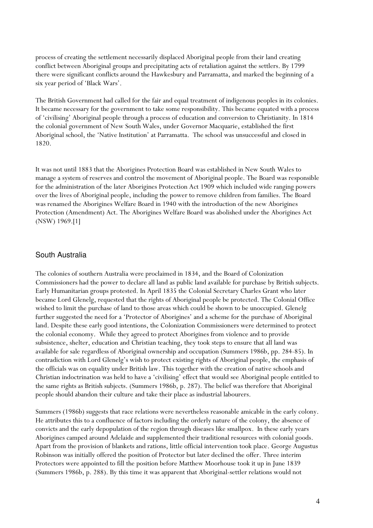process of creating the settlement necessarily displaced Aboriginal people from their land creating conflict between Aboriginal groups and precipitating acts of retaliation against the settlers. By 1799 there were significant conflicts around the Hawkesbury and Parramatta, and marked the beginning of a six year period of 'Black Wars'.

The British Government had called for the fair and equal treatment of indigenous peoples in its colonies. It became necessary for the government to take some responsibility. This became equated with a process of 'civilising' Aboriginal people through a process of education and conversion to Christianity. In 1814 the colonial government of New South Wales, under Governor Macquarie, established the first Aboriginal school, the 'Native Institution' at Parramatta. The school was unsuccessful and closed in 1820.

It was not until 1883 that the Aborigines Protection Board was established in New South Wales to manage a system of reserves and control the movement of Aboriginal people. The Board was responsible for the administration of the later Aborigines Protection Act 1909 which included wide ranging powers over the lives of Aboriginal people, including the power to remove children from families. The Board was renamed the Aborigines Welfare Board in 1940 with the introduction of the new Aborigines Protection (Amendment) Act. The Aborigines Welfare Board was abolished under the Aborigines Act (NSW) 1969.[1]

#### South Australia

The colonies of southern Australia were proclaimed in 1834, and the Board of Colonization Commissioners had the power to declare all land as public land available for purchase by British subjects. Early Humanitarian groups protested. In April 1835 the Colonial Secretary Charles Grant who later became Lord Glenelg, requested that the rights of Aboriginal people be protected. The Colonial Office wished to limit the purchase of land to those areas which could be shown to be unoccupied. Glenelg further suggested the need for a 'Protector of Aborigines' and a scheme for the purchase of Aboriginal land. Despite these early good intentions, the Colonization Commissioners were determined to protect the colonial economy. While they agreed to protect Aborigines from violence and to provide subsistence, shelter, education and Christian teaching, they took steps to ensure that all land was available for sale regardless of Aboriginal ownership and occupation (Summers 1986b, pp. 284-85). In contradiction with Lord Glenelg's wish to protect existing rights of Aboriginal people, the emphasis of the officials was on equality under British law. This together with the creation of native schools and Christian indoctrination was held to have a 'civilising' effect that would see Aboriginal people entitled to the same rights as British subjects. (Summers 1986b, p. 287). The belief was therefore that Aboriginal people should abandon their culture and take their place as industrial labourers.

Summers (1986b) suggests that race relations were nevertheless reasonable amicable in the early colony. He attributes this to a confluence of factors including the orderly nature of the colony, the absence of convicts and the early depopulation of the region through diseases like smallpox. In these early years Aborigines camped around Adelaide and supplemented their traditional resources with colonial goods. Apart from the provision of blankets and rations, little official intervention took place. George Augustus Robinson was initially offered the position of Protector but later declined the offer. Three interim Protectors were appointed to fill the position before Matthew Moorhouse took it up in June 1839 (Summers 1986b, p. 288). By this time it was apparent that Aboriginal-settler relations would not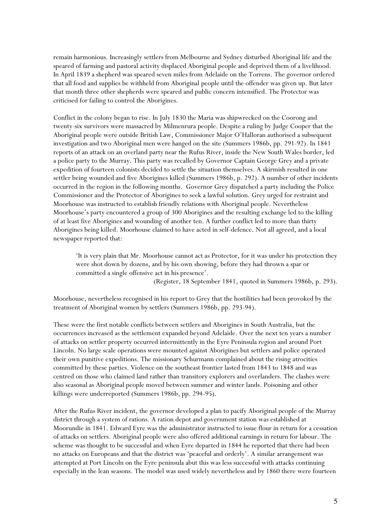remain harmonious. Increasingly settlers from Melbourne and Sydney disturbed Aboriginal life and the speared of farming and pastoral activity displaced Aboriginal people and deprived them of a livelihood. In April 1839 a shepherd was speared seven miles from Adelaide on the Torrens. The governor ordered that all food and supplies be withheld from Aboriginal people until the offender was given up. But later that month three other shepherds were speared and public concern intensified. The Protector was criticised for failing to control the Aborigines.

Conflict in the colony began to rise. In July 1830 the Maria was shipwrecked on the Coorong and twenty-six survivors were massacred by Milmenrura people. Despite a ruling by Judge Cooper that the Aboriginal people were outside British Law, Commissioner Major O'Halloran authorised a subsequent investigation and two Aboriginal men were hanged on the site (Summers 1986b, pp. 291-92). In 1841 reports of an attack on an overland party near the Rufus River, inside the New South Wales border, led a police party to the Murray. This party was recalled by Governor Captain George Grey and a private expedition of fourteen colonists decided to settle the situation themselves. A skirmish resulted in one settler being wounded and five Aborigines killed (Summers 1986b, p. 292). A number of other incidents occurred in the region in the following months. Governor Grey dispatched a party including the Police Commissioner and the Protector of Aborigines to seek a lawful solution. Grey urged for restraint and Moorhouse was instructed to establish friendly relations with Aboriginal people. Nevertheless Moorhouse's party encountered a group of 300 Aborigines and the resulting exchange led to the killing of at least five Aborigines and wounding of another ten. A further conflict led to more than thirty Aborigines being killed. Moorhouse claimed to have acted in self-defence. Not all agreed, and a local newspaper reported that:

'It is very plain that Mr. Moorhouse cannot act as Protector, for it was under his protection they were shot down by dozens, and by his own showing, before they had thrown a spar or committed a single offensive act in his presence'.

(Register, 18 September 1841, quoted in Summers 1986b, p. 293).

Moorhouse, nevertheless recognised in his report to Grey that the hostilities had been provoked by the treatment of Aboriginal women by settlers (Summers 1986b, pp. 293-94).

These were the first notable conflicts between settlers and Aborigines in South Australia, but the occurrences increased as the settlement expanded beyond Adelaide. Over the next ten years a number of attacks on settler property occurred intermittently in the Eyre Peninsula region and around Port Lincoln. No large scale operations were mounted against Aborigines but settlers and police operated their own punitive expeditions. The missionary Schurmann complained about the rising atrocities committed by these parties. Violence on the southeast frontier lasted from 1843 to 1848 and was centred on those who claimed land rather than transitory explorers and overlanders. The clashes were also seasonal as Aboriginal people moved between summer and winter lands. Poisoning and other killings were underreported (Summers 1986b, pp. 294-95).

After the Rufus River incident, the governor developed a plan to pacify Aboriginal people of the Murray district through a system of rations. A ration depot and government station was established at Moorundie in 1841. Edward Eyre was the administrator instructed to issue flour in return for a cessation of attacks on settlers. Aboriginal people were also offered additional earnings in return for labour. The scheme was thought to be successful and when Eyre departed in 1844 he reported that there had been no attacks on Europeans and that the district was 'peaceful and orderly'. A similar arrangement was attempted at Port Lincoln on the Eyre peninsula abut this was less successful with attacks continuing especially in the lean seasons. The model was used widely nevertheless and by 1860 there were fourteen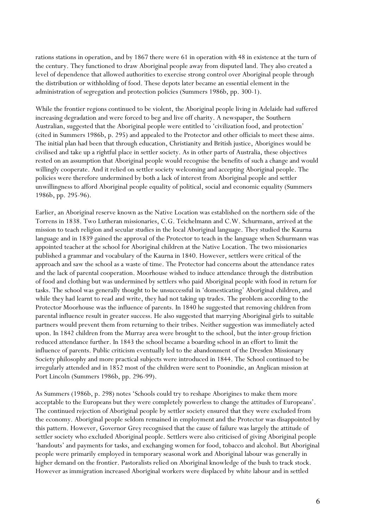rations stations in operation, and by 1867 there were 61 in operation with 48 in existence at the turn of the century. They functioned to draw Aboriginal people away from disputed land. They also created a level of dependence that allowed authorities to exercise strong control over Aboriginal people through the distribution or withholding of food. These depots later became an essential element in the administration of segregation and protection policies (Summers 1986b, pp. 300-1).

While the frontier regions continued to be violent, the Aboriginal people living in Adelaide had suffered increasing degradation and were forced to beg and live off charity. A newspaper, the Southern Australian, suggested that the Aboriginal people were entitled to 'civilization food, and protection' (cited in Summers 1986b, p. 295) and appealed to the Protector and other officials to meet these aims. The initial plan had been that through education, Christianity and British justice, Aborigines would be civilised and take up a rightful place in settler society. As in other parts of Australia, these objectives rested on an assumption that Aboriginal people would recognise the benefits of such a change and would willingly cooperate. And it relied on settler society welcoming and accepting Aboriginal people. The policies were therefore undermined by both a lack of interest from Aboriginal people and settler unwillingness to afford Aboriginal people equality of political, social and economic equality (Summers 1986b, pp. 295-96).

Earlier, an Aboriginal reserve known as the Native Location was established on the northern side of the Torrens in 1838. Two Lutheran missionaries, C.G. Teichelmann and C.W. Schurmann, arrived at the mission to teach religion and secular studies in the local Aboriginal language. They studied the Kaurna language and in 1839 gained the approval of the Protector to teach in the language when Schurmann was appointed teacher at the school for Aboriginal children at the Native Location. The two missionaries published a grammar and vocabulary of the Kaurna in 1840. However, settlers were critical of the approach and saw the school as a waste of time. The Protector had concerns about the attendance rates and the lack of parental cooperation. Moorhouse wished to induce attendance through the distribution of food and clothing but was undermined by settlers who paid Aboriginal people with food in return for tasks. The school was generally thought to be unsuccessful in 'domesticating' Aboriginal children, and while they had learnt to read and write, they had not taking up trades. The problem according to the Protector Moorhouse was the influence of parents. In 1840 he suggested that removing children from parental influence result in greater success. He also suggested that marrying Aboriginal girls to suitable partners would prevent them from returning to their tribes. Neither suggestion was immediately acted upon. In 1842 children from the Murray area were brought to the school, but the inter-group friction reduced attendance further. In 1843 the school became a boarding school in an effort to limit the influence of parents. Public criticism eventually led to the abandonment of the Dresden Missionary Society philosophy and more practical subjects were introduced in 1844. The School continued to be irregularly attended and in 1852 most of the children were sent to Poonindie, an Anglican mission at Port Lincoln (Summers 1986b, pp. 296-99).

As Summers (1986b, p. 298) notes 'Schools could try to reshape Aborigines to make them more acceptable to the Europeans but they were completely powerless to change the attitudes of Europeans'. The continued rejection of Aboriginal people by settler society ensured that they were excluded from the economy. Aboriginal people seldom remained in employment and the Protector was disappointed by this pattern. However, Governor Grey recognised that the cause of failure was largely the attitude of settler society who excluded Aboriginal people. Settlers were also criticised of giving Aboriginal people 'handouts' and payments for tasks, and exchanging women for food, tobacco and alcohol. But Aboriginal people were primarily employed in temporary seasonal work and Aboriginal labour was generally in higher demand on the frontier. Pastoralists relied on Aboriginal knowledge of the bush to track stock. However as immigration increased Aboriginal workers were displaced by white labour and in settled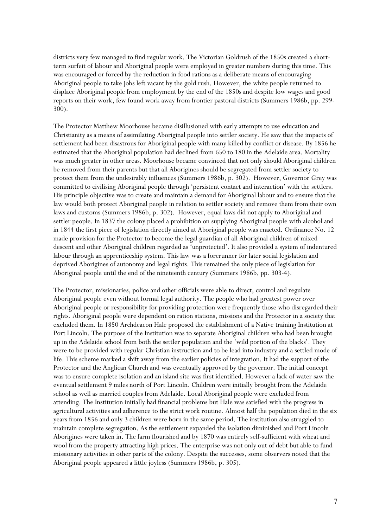districts very few managed to find regular work. The Victorian Goldrush of the 1850s created a shortterm surfeit of labour and Aboriginal people were employed in greater numbers during this time. This was encouraged or forced by the reduction in food rations as a deliberate means of encouraging Aboriginal people to take jobs left vacant by the gold rush. However, the white people returned to displace Aboriginal people from employment by the end of the 1850s and despite low wages and good reports on their work, few found work away from frontier pastoral districts (Summers 1986b, pp. 299- 300).

The Protector Matthew Moorhouse became disillusioned with early attempts to use education and Christianity as a means of assimilating Aboriginal people into settler society. He saw that the impacts of settlement had been disastrous for Aboriginal people with many killed by conflict or disease. By 1856 he estimated that the Aboriginal population had declined from 650 to 180 in the Adelaide area. Mortality was much greater in other areas. Moorhouse became convinced that not only should Aboriginal children be removed from their parents but that all Aborigines should be segregated from settler society to protect them from the undesirably influences (Summers 1986b, p. 302). However, Governor Grey was committed to civilising Aboriginal people through 'persistent contact and interaction' with the settlers. His principle objective was to create and maintain a demand for Aboriginal labour and to ensure that the law would both protect Aboriginal people in relation to settler society and remove them from their own laws and customs (Summers 1986b, p. 302). However, equal laws did not apply to Aboriginal and settler people. In 1837 the colony placed a prohibition on supplying Aboriginal people with alcohol and in 1844 the first piece of legislation directly aimed at Aboriginal people was enacted. Ordinance No. 12 made provision for the Protector to become the legal guardian of all Aboriginal children of mixed descent and other Aboriginal children regarded as 'unprotected'. It also provided a system of indentured labour through an apprenticeship system. This law was a forerunner for later social legislation and deprived Aborigines of autonomy and legal rights. This remained the only piece of legislation for Aboriginal people until the end of the nineteenth century (Summers 1986b, pp. 303-4).

The Protector, missionaries, police and other officials were able to direct, control and regulate Aboriginal people even without formal legal authority. The people who had greatest power over Aboriginal people or responsibility for providing protection were frequently those who disregarded their rights. Aboriginal people were dependent on ration stations, missions and the Protector in a society that excluded them. In 1850 Archdeacon Hale proposed the establishment of a Native training Institution at Port Lincoln. The purpose of the Institution was to separate Aboriginal children who had been brought up in the Adelaide school from both the settler population and the 'wild portion of the blacks'. They were to be provided with regular Christian instruction and to be lead into industry and a settled mode of life. This scheme marked a shift away from the earlier policies of integration. It had the support of the Protector and the Anglican Church and was eventually approved by the governor. The initial concept was to ensure complete isolation and an island site was first identified. However a lack of water saw the eventual settlement 9 miles north of Port Lincoln. Children were initially brought from the Adelaide school as well as married couples from Adelaide. Local Aboriginal people were excluded from attending. The Institution initially had financial problems but Hale was satisfied with the progress in agricultural activities and adherence to the strict work routine. Almost half the population died in the six years from 1856 and only 3 children were born in the same period. The institution also struggled to maintain complete segregation. As the settlement expanded the isolation diminished and Port Lincoln Aborigines were taken in. The farm flourished and by 1870 was entirely self-sufficient with wheat and wool from the property attracting high prices. The enterprise was not only out of debt but able to fund missionary activities in other parts of the colony. Despite the successes, some observers noted that the Aboriginal people appeared a little joyless (Summers 1986b, p. 305).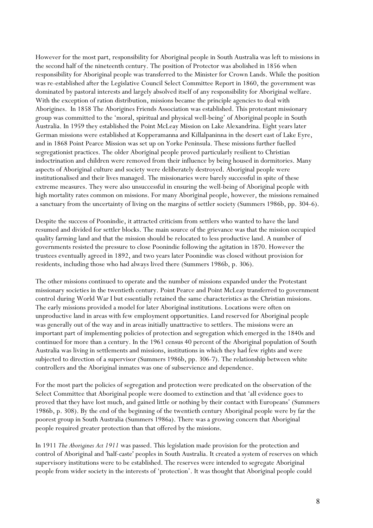However for the most part, responsibility for Aboriginal people in South Australia was left to missions in the second half of the nineteenth century. The position of Protector was abolished in 1856 when responsibility for Aboriginal people was transferred to the Minister for Crown Lands. While the position was re-established after the Legislative Council Select Committee Report in 1860, the government was dominated by pastoral interests and largely absolved itself of any responsibility for Aboriginal welfare. With the exception of ration distribution, missions became the principle agencies to deal with Aborigines. In 1858 The Aborigines Friends Association was established. This protestant missionary group was committed to the 'moral, spiritual and physical well-being' of Aboriginal people in South Australia. In 1959 they established the Point McLeay Mission on Lake Alexandrina. Eight years later German missions were established at Kopperamanna and Killalpaninna in the desert east of Lake Eyre, and in 1868 Point Pearce Mission was set up on Yorke Peninsula. These missions further fuelled segregationist practices. The older Aboriginal people proved particularly resilient to Christian indoctrination and children were removed from their influence by being housed in dormitories. Many aspects of Aboriginal culture and society were deliberately destroyed. Aboriginal people were institutionalised and their lives managed. The missionaries were barely successful in spite of these extreme measures. They were also unsuccessful in ensuring the well-being of Aboriginal people with high mortality rates common on missions. For many Aboriginal people, however, the missions remained a sanctuary from the uncertainty of living on the margins of settler society (Summers 1986b, pp. 304-6).

Despite the success of Poonindie, it attracted criticism from settlers who wanted to have the land resumed and divided for settler blocks. The main source of the grievance was that the mission occupied quality farming land and that the mission should be relocated to less productive land. A number of governments resisted the pressure to close Poonindie following the agitation in 1870. However the trustees eventually agreed in 1892, and two years later Poonindie was closed without provision for residents, including those who had always lived there (Summers 1986b, p. 306).

The other missions continued to operate and the number of missions expanded under the Protestant missionary societies in the twentieth century. Point Pearce and Point McLeay transferred to government control during World War I but essentially retained the same characteristics as the Christian missions. The early missions provided a model for later Aboriginal institutions. Locations were often on unproductive land in areas with few employment opportunities. Land reserved for Aboriginal people was generally out of the way and in areas initially unattractive to settlers. The missions were an important part of implementing policies of protection and segregation which emerged in the 1840s and continued for more than a century. In the 1961 census 40 percent of the Aboriginal population of South Australia was living in settlements and missions, institutions in which they had few rights and were subjected to direction of a supervisor (Summers 1986b, pp. 306-7). The relationship between white controllers and the Aboriginal inmates was one of subservience and dependence.

For the most part the policies of segregation and protection were predicated on the observation of the Select Committee that Aboriginal people were doomed to extinction and that 'all evidence goes to proved that they have lost much, and gained little or nothing by their contact with Europeans' (Summers 1986b, p. 308). By the end of the beginning of the twentieth century Aboriginal people were by far the poorest group in South Australia (Summers 1986a). There was a growing concern that Aboriginal people required greater protection than that offered by the missions.

In 1911 The Aborigines Act 1911 was passed. This legislation made provision for the protection and control of Aboriginal and 'half-caste' peoples in South Australia. It created a system of reserves on which supervisory institutions were to be established. The reserves were intended to segregate Aboriginal people from wider society in the interests of 'protection'. It was thought that Aboriginal people could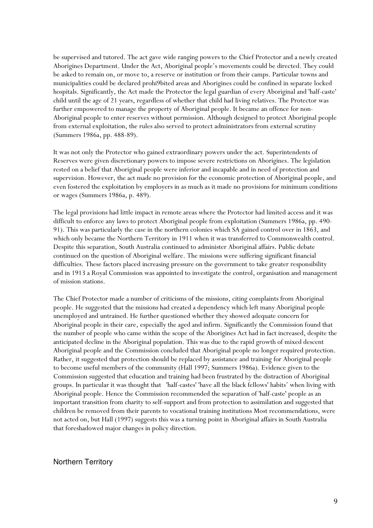be supervised and tutored. The act gave wide ranging powers to the Chief Protector and a newly created Aborigines Department. Under the Act, Aboriginal people's movements could be directed. They could be asked to remain on, or move to, a reserve or institution or from their camps. Particular towns and municipalities could be declared prohi9bited areas and Aborigines could be confined in separate locked hospitals. Significantly, the Act made the Protector the legal guardian of every Aboriginal and 'half-caste' child until the age of 21 years, regardless of whether that child had living relatives. The Protector was further empowered to manage the property of Aboriginal people. It became an offence for non-Aboriginal people to enter reserves without permission. Although designed to protect Aboriginal people from external exploitation, the rules also served to protect administrators from external scrutiny (Summers 1986a, pp. 488-89).

It was not only the Protector who gained extraordinary powers under the act. Superintendents of Reserves were given discretionary powers to impose severe restrictions on Aborigines. The legislation rested on a belief that Aboriginal people were inferior and incapable and in need of protection and supervision. However, the act made no provision for the economic protection of Aboriginal people, and even fostered the exploitation by employers in as much as it made no provisions for minimum conditions or wages (Summers 1986a, p. 489).

The legal provisions had little impact in remote areas where the Protector had limited access and it was difficult to enforce any laws to protect Aboriginal people from exploitation (Summers 1986a, pp. 490- 91). This was particularly the case in the northern colonies which SA gained control over in 1863, and which only became the Northern Territory in 1911 when it was transferred to Commonwealth control. Despite this separation, South Australia continued to administer Aboriginal affairs. Public debate continued on the question of Aboriginal welfare. The missions were suffering significant financial difficulties. These factors placed increasing pressure on the government to take greater responsibility and in 1913 a Royal Commission was appointed to investigate the control, organisation and management of mission stations.

The Chief Protector made a number of criticisms of the missions, citing complaints from Aboriginal people. He suggested that the missions had created a dependency which left many Aboriginal people unemployed and untrained. He further questioned whether they showed adequate concern for Aboriginal people in their care, especially the aged and infirm. Significantly the Commission found that the number of people who came within the scope of the Aborigines Act had in fact increased, despite the anticipated decline in the Aboriginal population. This was due to the rapid growth of mixed descent Aboriginal people and the Commission concluded that Aboriginal people no longer required protection. Rather, it suggested that protection should be replaced by assistance and training for Aboriginal people to become useful members of the community (Hall 1997; Summers 1986a). Evidence given to the Commission suggested that education and training had been frustrated by the distraction of Aboriginal groups. In particular it was thought that 'half-castes' 'have all the black fellows' habits' when living with Aboriginal people. Hence the Commission recommended the separation of 'half-caste' people as an important transition from charity to self-support and from protection to assimilation and suggested that children be removed from their parents to vocational training institutions Most recommendations, were not acted on, but Hall (1997) suggests this was a turning point in Aboriginal affairs in South Australia that foreshadowed major changes in policy direction.

#### Northern Territory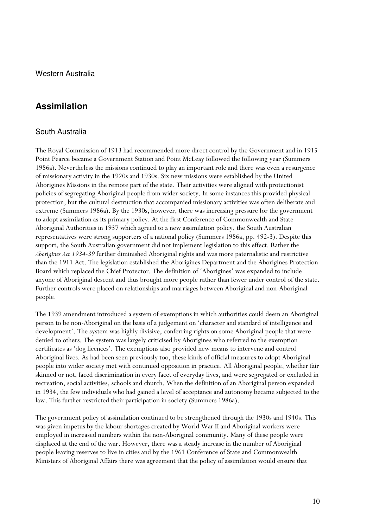Western Australia

#### **Assimilation**

#### South Australia

The Royal Commission of 1913 had recommended more direct control by the Government and in 1915 Point Pearce became a Government Station and Point McLeay followed the following year (Summers 1986a). Nevertheless the missions continued to play an important role and there was even a resurgence of missionary activity in the 1920s and 1930s. Six new missions were established by the United Aborigines Missions in the remote part of the state. Their activities were aligned with protectionist policies of segregating Aboriginal people from wider society. In some instances this provided physical protection, but the cultural destruction that accompanied missionary activities was often deliberate and extreme (Summers 1986a). By the 1930s, however, there was increasing pressure for the government to adopt assimilation as its primary policy. At the first Conference of Commonwealth and State Aboriginal Authorities in 1937 which agreed to a new assimilation policy, the South Australian representatives were strong supporters of a national policy (Summers 1986a, pp. 492-3). Despite this support, the South Australian government did not implement legislation to this effect. Rather the Aborigines Act 1934-39 further diminished Aboriginal rights and was more paternalistic and restrictive than the 1911 Act. The legislation established the Aborigines Department and the Aborigines Protection Board which replaced the Chief Protector. The definition of 'Aborigines' was expanded to include anyone of Aboriginal descent and thus brought more people rather than fewer under control of the state. Further controls were placed on relationships and marriages between Aboriginal and non-Aboriginal people.

The 1939 amendment introduced a system of exemptions in which authorities could deem an Aboriginal person to be non-Aboriginal on the basis of a judgement on 'character and standard of intelligence and development'. The system was highly divisive, conferring rights on some Aboriginal people that were denied to others. The system was largely criticised by Aborigines who referred to the exemption certificates as 'dog licences'. The exemptions also provided new means to intervene and control Aboriginal lives. As had been seen previously too, these kinds of official measures to adopt Aboriginal people into wider society met with continued opposition in practice. All Aboriginal people, whether fair skinned or not, faced discrimination in every facet of everyday lives, and were segregated or excluded in recreation, social activities, schools and church. When the definition of an Aboriginal person expanded in 1934, the few individuals who had gained a level of acceptance and autonomy became subjected to the law. This further restricted their participation in society (Summers 1986a).

The government policy of assimilation continued to be strengthened through the 1930s and 1940s. This was given impetus by the labour shortages created by World War II and Aboriginal workers were employed in increased numbers within the non-Aboriginal community. Many of these people were displaced at the end of the war. However, there was a steady increase in the number of Aboriginal people leaving reserves to live in cities and by the 1961 Conference of State and Commonwealth Ministers of Aboriginal Affairs there was agreement that the policy of assimilation would ensure that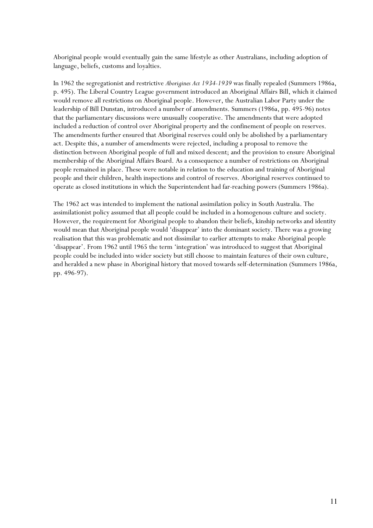Aboriginal people would eventually gain the same lifestyle as other Australians, including adoption of language, beliefs, customs and loyalties.

In 1962 the segregationist and restrictive Aborigines Act 1934-1939 was finally repealed (Summers 1986a, p. 495). The Liberal Country League government introduced an Aboriginal Affairs Bill, which it claimed would remove all restrictions on Aboriginal people. However, the Australian Labor Party under the leadership of Bill Dunstan, introduced a number of amendments. Summers (1986a, pp. 495-96) notes that the parliamentary discussions were unusually cooperative. The amendments that were adopted included a reduction of control over Aboriginal property and the confinement of people on reserves. The amendments further ensured that Aboriginal reserves could only be abolished by a parliamentary act. Despite this, a number of amendments were rejected, including a proposal to remove the distinction between Aboriginal people of full and mixed descent; and the provision to ensure Aboriginal membership of the Aboriginal Affairs Board. As a consequence a number of restrictions on Aboriginal people remained in place. These were notable in relation to the education and training of Aboriginal people and their children, health inspections and control of reserves. Aboriginal reserves continued to operate as closed institutions in which the Superintendent had far-reaching powers (Summers 1986a).

The 1962 act was intended to implement the national assimilation policy in South Australia. The assimilationist policy assumed that all people could be included in a homogenous culture and society. However, the requirement for Aboriginal people to abandon their beliefs, kinship networks and identity would mean that Aboriginal people would 'disappear' into the dominant society. There was a growing realisation that this was problematic and not dissimilar to earlier attempts to make Aboriginal people 'disappear'. From 1962 until 1965 the term 'integration' was introduced to suggest that Aboriginal people could be included into wider society but still choose to maintain features of their own culture, and heralded a new phase in Aboriginal history that moved towards self-determination (Summers 1986a, pp. 496-97).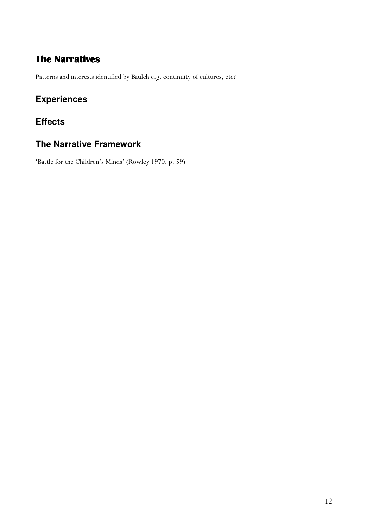### The Narratives

Patterns and interests identified by Baulch e.g. continuity of cultures, etc?

### **Experiences**

### **Effects**

### **The Narrative Framework**

'Battle for the Children's Minds' (Rowley 1970, p. 59)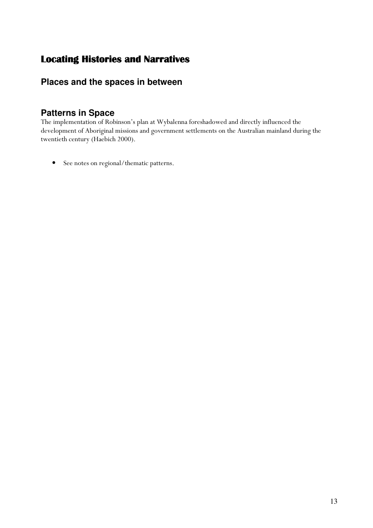### Locating Histories and Narratives

### **Places and the spaces in between**

#### **Patterns in Space**

The implementation of Robinson's plan at Wybalenna foreshadowed and directly influenced the development of Aboriginal missions and government settlements on the Australian mainland during the twentieth century (Haebich 2000).

• See notes on regional/thematic patterns.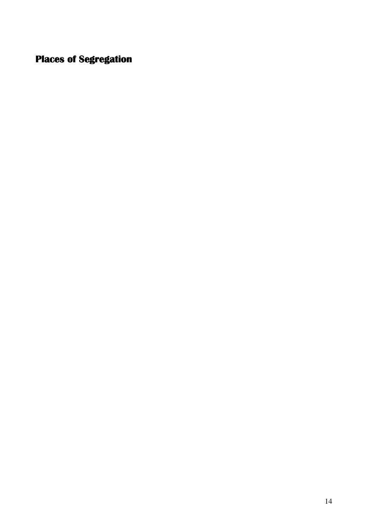## Places of Segregation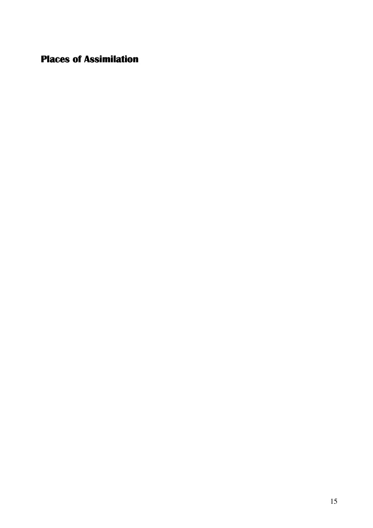Places of Assimilation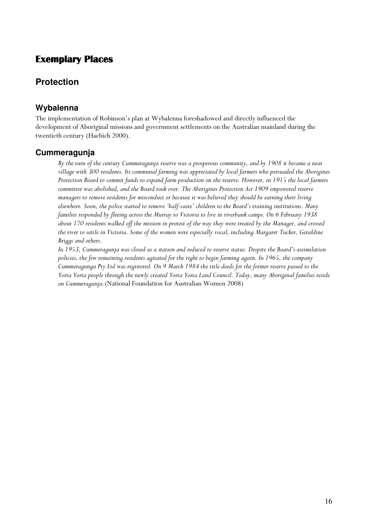#### Exemplary Places

#### **Protection**

#### **Wybalenna**

The implementation of Robinson's plan at Wybalenna foreshadowed and directly influenced the development of Aboriginal missions and government settlements on the Australian mainland during the twentieth century (Haebich 2000).

#### **Cummeragunja**

By the turn of the century Cummeragunja reserve was a prosperous community, and by 1908 it became a neat village with 300 residents. Its communal farming was appreciated by local farmers who persuaded the Aborigines Protection Board to commit funds to expand farm production on the reserve. However, in 1915 the local farmers committee was abolished, and the Board took over. The Aborigines Protection Act 1909 empowered reserve managers to remove residents for misconduct or because it was believed they should be earning their living elsewhere. Soon, the police started to remove 'half-caste' children to the Board's training institutions. Many families responded by fleeing across the Murray to Victoria to live in riverbank camps. On 6 February 1938 about 170 residents walked off the mission in protest of the way they were treated by the Manager, and crossed the river to settle in Victoria. Some of the women were especially vocal, including Margaret Tucker, Geraldine Briggs and others.

In 1953, Cummeragunja was closed as a station and reduced to reserve status. Despite the Board's assimilation policies, the few remaining residents agitated for the right to begin farming again. In 1965, the company Cummeragunga Pty Ltd was registered. On 9 March 1984 the title deeds for the former reserve passed to the Yorta Yorta people through the newly created Yorta Yorta Land Council. Today, many Aboriginal families reside on Cummeragunja.(National Foundation for Australian Women 2008)